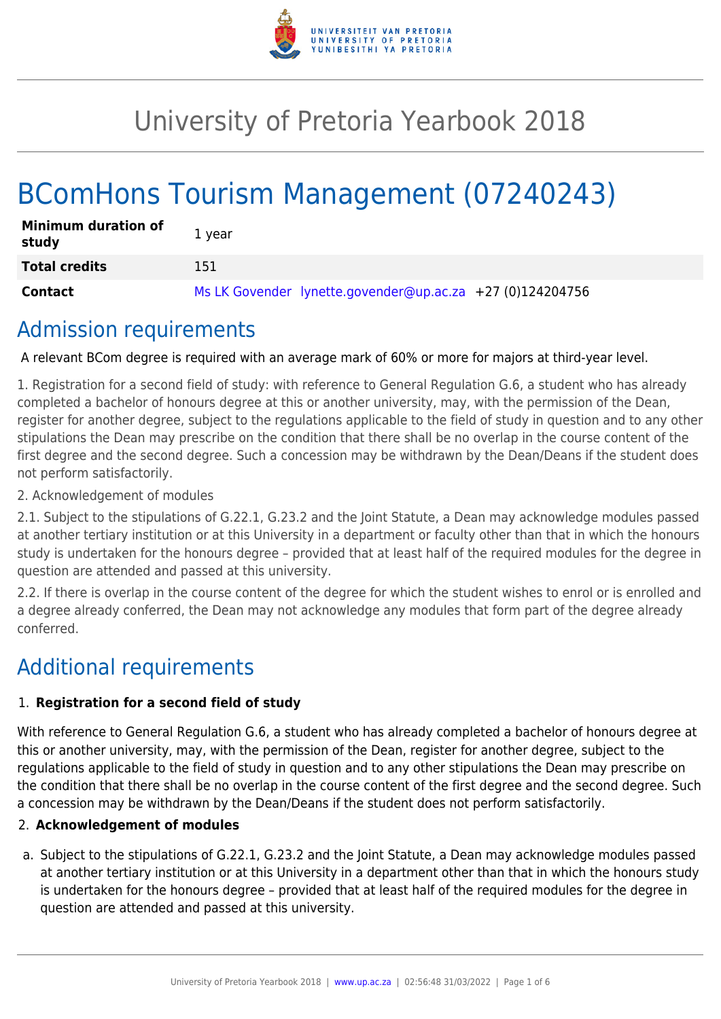

# University of Pretoria Yearbook 2018

# BComHons Tourism Management (07240243)

| <b>Minimum duration of</b><br>study | 1 year                                                    |
|-------------------------------------|-----------------------------------------------------------|
| <b>Total credits</b>                | 151.                                                      |
| <b>Contact</b>                      | Ms LK Govender lynette.govender@up.ac.za +27 (0)124204756 |

## Admission requirements

A relevant BCom degree is required with an average mark of 60% or more for majors at third-year level.

1. Registration for a second field of study: with reference to General Regulation G.6, a student who has already completed a bachelor of honours degree at this or another university, may, with the permission of the Dean, register for another degree, subject to the regulations applicable to the field of study in question and to any other stipulations the Dean may prescribe on the condition that there shall be no overlap in the course content of the first degree and the second degree. Such a concession may be withdrawn by the Dean/Deans if the student does not perform satisfactorily.

2. Acknowledgement of modules

2.1. Subject to the stipulations of G.22.1, G.23.2 and the Joint Statute, a Dean may acknowledge modules passed at another tertiary institution or at this University in a department or faculty other than that in which the honours study is undertaken for the honours degree – provided that at least half of the required modules for the degree in question are attended and passed at this university.

2.2. If there is overlap in the course content of the degree for which the student wishes to enrol or is enrolled and a degree already conferred, the Dean may not acknowledge any modules that form part of the degree already conferred.

## Additional requirements

### 1. **Registration for a second field of study**

With reference to General Regulation G.6, a student who has already completed a bachelor of honours degree at this or another university, may, with the permission of the Dean, register for another degree, subject to the regulations applicable to the field of study in question and to any other stipulations the Dean may prescribe on the condition that there shall be no overlap in the course content of the first degree and the second degree. Such a concession may be withdrawn by the Dean/Deans if the student does not perform satisfactorily.

#### 2. **Acknowledgement of modules**

a. Subject to the stipulations of G.22.1, G.23.2 and the Joint Statute, a Dean may acknowledge modules passed at another tertiary institution or at this University in a department other than that in which the honours study is undertaken for the honours degree – provided that at least half of the required modules for the degree in question are attended and passed at this university.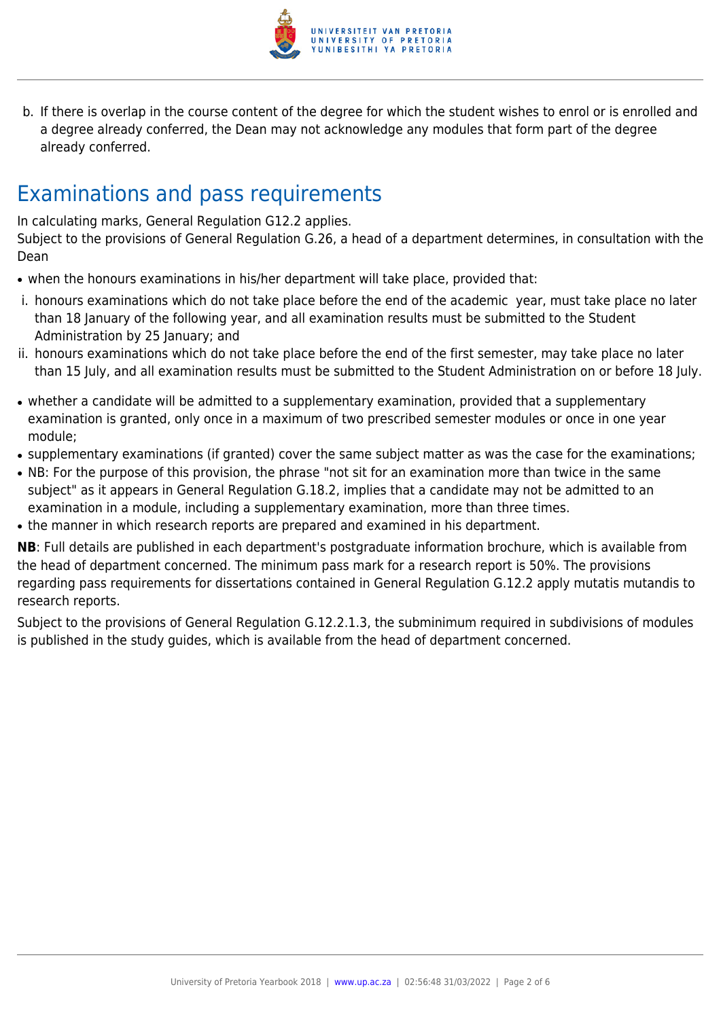

b. If there is overlap in the course content of the degree for which the student wishes to enrol or is enrolled and a degree already conferred, the Dean may not acknowledge any modules that form part of the degree already conferred.

# Examinations and pass requirements

In calculating marks, General Regulation G12.2 applies.

Subject to the provisions of General Regulation G.26, a head of a department determines, in consultation with the Dean

- when the honours examinations in his/her department will take place, provided that:
- i. honours examinations which do not take place before the end of the academic year, must take place no later than 18 January of the following year, and all examination results must be submitted to the Student Administration by 25 January; and
- ii. honours examinations which do not take place before the end of the first semester, may take place no later than 15 July, and all examination results must be submitted to the Student Administration on or before 18 July.
- whether a candidate will be admitted to a supplementary examination, provided that a supplementary examination is granted, only once in a maximum of two prescribed semester modules or once in one year module;
- supplementary examinations (if granted) cover the same subject matter as was the case for the examinations;
- NB: For the purpose of this provision, the phrase "not sit for an examination more than twice in the same subject" as it appears in General Regulation G.18.2, implies that a candidate may not be admitted to an examination in a module, including a supplementary examination, more than three times.
- the manner in which research reports are prepared and examined in his department.

**NB**: Full details are published in each department's postgraduate information brochure, which is available from the head of department concerned. The minimum pass mark for a research report is 50%. The provisions regarding pass requirements for dissertations contained in General Regulation G.12.2 apply mutatis mutandis to research reports.

Subject to the provisions of General Regulation G.12.2.1.3, the subminimum required in subdivisions of modules is published in the study guides, which is available from the head of department concerned.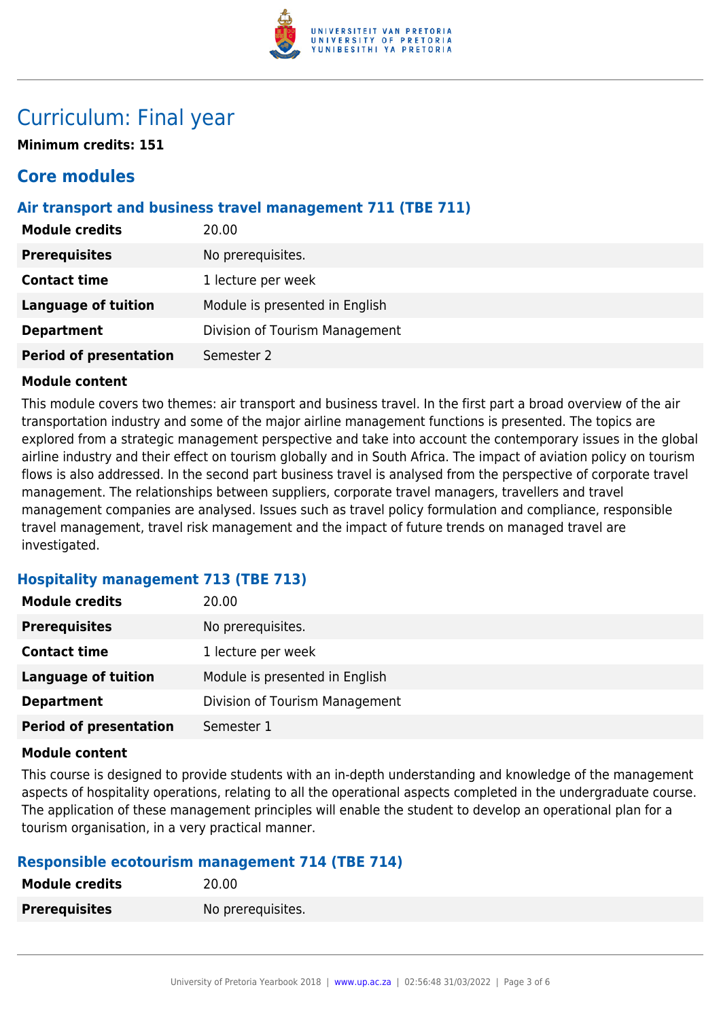

## Curriculum: Final year

**Minimum credits: 151**

### **Core modules**

#### **Air transport and business travel management 711 (TBE 711)**

| <b>Module credits</b>         | 20.00                          |
|-------------------------------|--------------------------------|
| <b>Prerequisites</b>          | No prerequisites.              |
| <b>Contact time</b>           | 1 lecture per week             |
| <b>Language of tuition</b>    | Module is presented in English |
| <b>Department</b>             | Division of Tourism Management |
| <b>Period of presentation</b> | Semester 2                     |

#### **Module content**

This module covers two themes: air transport and business travel. In the first part a broad overview of the air transportation industry and some of the major airline management functions is presented. The topics are explored from a strategic management perspective and take into account the contemporary issues in the global airline industry and their effect on tourism globally and in South Africa. The impact of aviation policy on tourism flows is also addressed. In the second part business travel is analysed from the perspective of corporate travel management. The relationships between suppliers, corporate travel managers, travellers and travel management companies are analysed. Issues such as travel policy formulation and compliance, responsible travel management, travel risk management and the impact of future trends on managed travel are investigated.

#### **Hospitality management 713 (TBE 713)**

| <b>Module credits</b>         | 20.00                          |
|-------------------------------|--------------------------------|
| <b>Prerequisites</b>          | No prerequisites.              |
| <b>Contact time</b>           | 1 lecture per week             |
| Language of tuition           | Module is presented in English |
| <b>Department</b>             | Division of Tourism Management |
| <b>Period of presentation</b> | Semester 1                     |

#### **Module content**

This course is designed to provide students with an in-depth understanding and knowledge of the management aspects of hospitality operations, relating to all the operational aspects completed in the undergraduate course. The application of these management principles will enable the student to develop an operational plan for a tourism organisation, in a very practical manner.

#### **Responsible ecotourism management 714 (TBE 714)**

| <b>Module credits</b> | 20.00             |
|-----------------------|-------------------|
| <b>Prerequisites</b>  | No prerequisites. |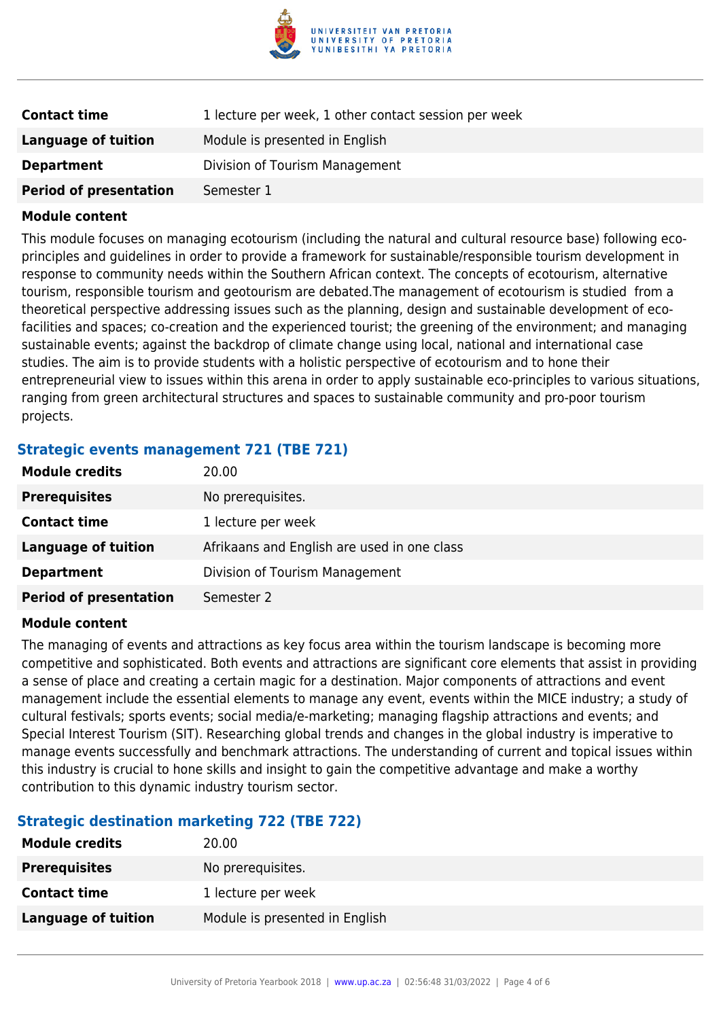

| <b>Contact time</b>           | 1 lecture per week, 1 other contact session per week |
|-------------------------------|------------------------------------------------------|
| Language of tuition           | Module is presented in English                       |
| <b>Department</b>             | Division of Tourism Management                       |
| <b>Period of presentation</b> | Semester 1                                           |

#### **Module content**

This module focuses on managing ecotourism (including the natural and cultural resource base) following ecoprinciples and guidelines in order to provide a framework for sustainable/responsible tourism development in response to community needs within the Southern African context. The concepts of ecotourism, alternative tourism, responsible tourism and geotourism are debated.The management of ecotourism is studied from a theoretical perspective addressing issues such as the planning, design and sustainable development of ecofacilities and spaces; co-creation and the experienced tourist; the greening of the environment; and managing sustainable events; against the backdrop of climate change using local, national and international case studies. The aim is to provide students with a holistic perspective of ecotourism and to hone their entrepreneurial view to issues within this arena in order to apply sustainable eco-principles to various situations, ranging from green architectural structures and spaces to sustainable community and pro-poor tourism projects.

#### **Strategic events management 721 (TBE 721)**

| <b>Module credits</b>         | 20.00                                       |
|-------------------------------|---------------------------------------------|
| <b>Prerequisites</b>          | No prerequisites.                           |
| <b>Contact time</b>           | 1 lecture per week                          |
| Language of tuition           | Afrikaans and English are used in one class |
| <b>Department</b>             | Division of Tourism Management              |
| <b>Period of presentation</b> | Semester 2                                  |

#### **Module content**

The managing of events and attractions as key focus area within the tourism landscape is becoming more competitive and sophisticated. Both events and attractions are significant core elements that assist in providing a sense of place and creating a certain magic for a destination. Major components of attractions and event management include the essential elements to manage any event, events within the MICE industry; a study of cultural festivals; sports events; social media/e-marketing; managing flagship attractions and events; and Special Interest Tourism (SIT). Researching global trends and changes in the global industry is imperative to manage events successfully and benchmark attractions. The understanding of current and topical issues within this industry is crucial to hone skills and insight to gain the competitive advantage and make a worthy contribution to this dynamic industry tourism sector.

#### **Strategic destination marketing 722 (TBE 722)**

| <b>Module credits</b> | 20.00                          |
|-----------------------|--------------------------------|
| <b>Prerequisites</b>  | No prerequisites.              |
| <b>Contact time</b>   | 1 lecture per week             |
| Language of tuition   | Module is presented in English |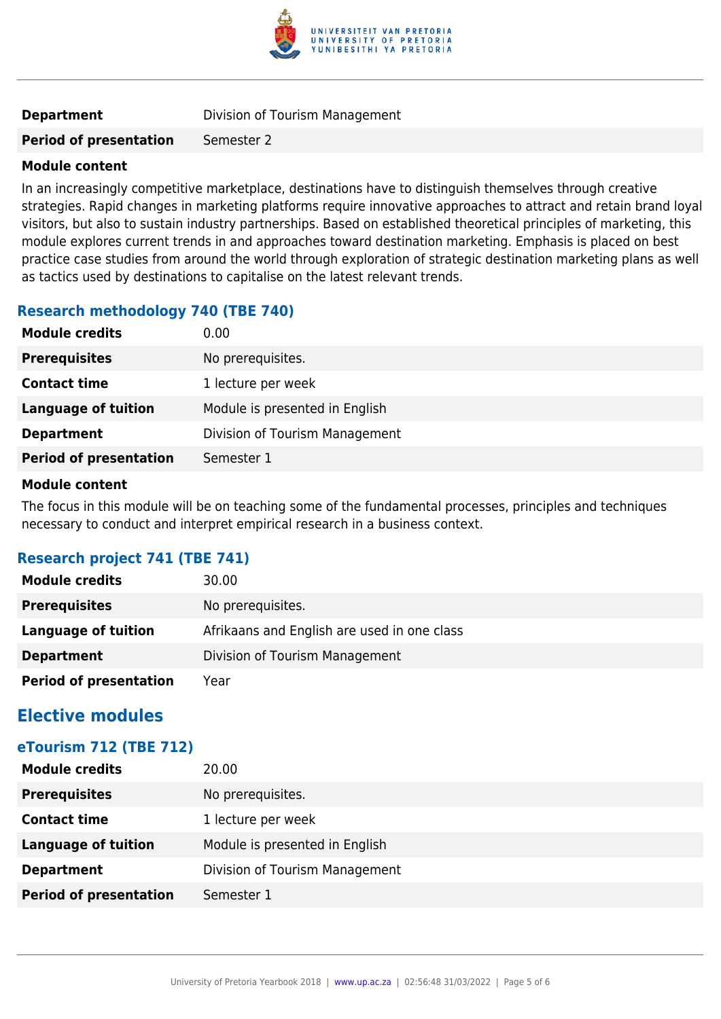

**Period of presentation** Semester 2

#### **Module content**

In an increasingly competitive marketplace, destinations have to distinguish themselves through creative strategies. Rapid changes in marketing platforms require innovative approaches to attract and retain brand loyal visitors, but also to sustain industry partnerships. Based on established theoretical principles of marketing, this module explores current trends in and approaches toward destination marketing. Emphasis is placed on best practice case studies from around the world through exploration of strategic destination marketing plans as well as tactics used by destinations to capitalise on the latest relevant trends.

#### **Research methodology 740 (TBE 740)**

| <b>Module credits</b>         | 0.00                           |
|-------------------------------|--------------------------------|
| <b>Prerequisites</b>          | No prerequisites.              |
| <b>Contact time</b>           | 1 lecture per week             |
| <b>Language of tuition</b>    | Module is presented in English |
| <b>Department</b>             | Division of Tourism Management |
| <b>Period of presentation</b> | Semester 1                     |

#### **Module content**

The focus in this module will be on teaching some of the fundamental processes, principles and techniques necessary to conduct and interpret empirical research in a business context.

#### **Research project 741 (TBE 741)**

| <b>Module credits</b>         | 30.00                                       |
|-------------------------------|---------------------------------------------|
| <b>Prerequisites</b>          | No prerequisites.                           |
| Language of tuition           | Afrikaans and English are used in one class |
| <b>Department</b>             | Division of Tourism Management              |
| <b>Period of presentation</b> | Year                                        |

### **Elective modules**

#### **eTourism 712 (TBE 712)**

| <b>Module credits</b>         | 20.00                          |
|-------------------------------|--------------------------------|
| <b>Prerequisites</b>          | No prerequisites.              |
| <b>Contact time</b>           | 1 lecture per week             |
| <b>Language of tuition</b>    | Module is presented in English |
| <b>Department</b>             | Division of Tourism Management |
| <b>Period of presentation</b> | Semester 1                     |